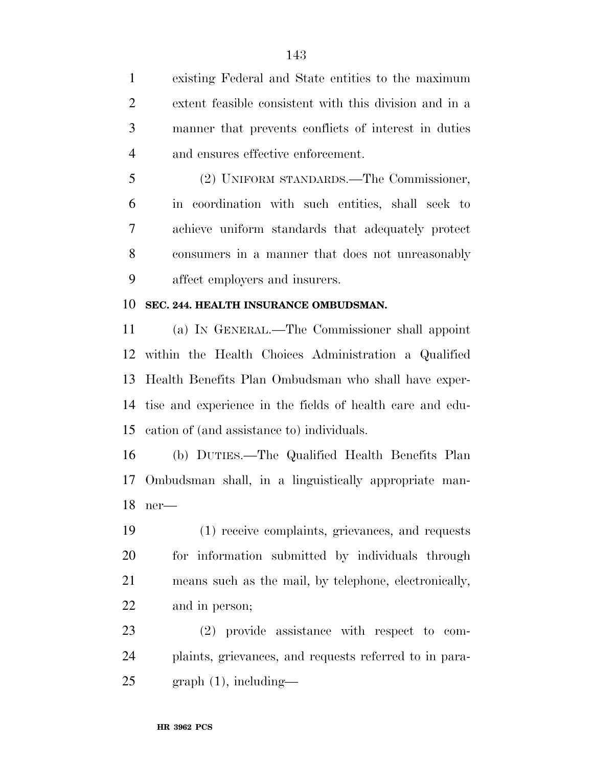existing Federal and State entities to the maximum extent feasible consistent with this division and in a manner that prevents conflicts of interest in duties and ensures effective enforcement.

 (2) UNIFORM STANDARDS.—The Commissioner, in coordination with such entities, shall seek to achieve uniform standards that adequately protect consumers in a manner that does not unreasonably affect employers and insurers.

## **SEC. 244. HEALTH INSURANCE OMBUDSMAN.**

 (a) I<sup>N</sup> GENERAL.—The Commissioner shall appoint within the Health Choices Administration a Qualified Health Benefits Plan Ombudsman who shall have exper- tise and experience in the fields of health care and edu-cation of (and assistance to) individuals.

 (b) DUTIES.—The Qualified Health Benefits Plan Ombudsman shall, in a linguistically appropriate man-ner—

 (1) receive complaints, grievances, and requests for information submitted by individuals through means such as the mail, by telephone, electronically, and in person;

 (2) provide assistance with respect to com- plaints, grievances, and requests referred to in para-graph (1), including—